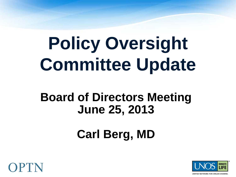# **Policy Oversight Committee Update**

#### **Board of Directors Meeting June 25, 2013**

### **Carl Berg, MD**



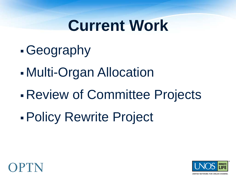## **Current Work**

- Geography
- Multi-Organ Allocation
- Review of Committee Projects
- Policy Rewrite Project



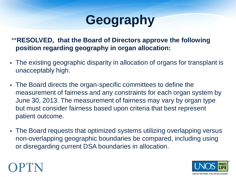#### **Geography**

\*\***RESOLVED, that the Board of Directors approve the following position regarding geography in organ allocation:**

- The existing geographic disparity in allocation of organs for transplant is unacceptably high.
- The Board directs the organ-specific committees to define the measurement of fairness and any constraints for each organ system by June 30, 2013. The measurement of fairness may vary by organ type but must consider fairness based upon criteria that best represent patient outcome.
- The Board requests that optimized systems utilizing overlapping versus non-overlapping geographic boundaries be compared, including using or disregarding current DSA boundaries in allocation.

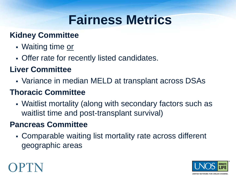### **Fairness Metrics**

#### **Kidney Committee**

- Waiting time or
- Offer rate for recently listed candidates.

#### **Liver Committee**

Variance in median MELD at transplant across DSAs

#### **Thoracic Committee**

 Waitlist mortality (along with secondary factors such as waitlist time and post-transplant survival)

#### **Pancreas Committee**

 Comparable waiting list mortality rate across different geographic areas



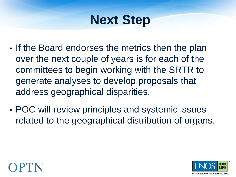### **Next Step**

- If the Board endorses the metrics then the plan over the next couple of years is for each of the committees to begin working with the SRTR to generate analyses to develop proposals that address geographical disparities.
- POC will review principles and systemic issues related to the geographical distribution of organs.



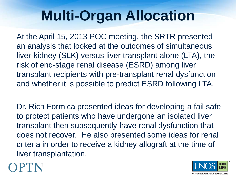At the April 15, 2013 POC meeting, the SRTR presented an analysis that looked at the outcomes of simultaneous liver-kidney (SLK) versus liver transplant alone (LTA), the risk of end-stage renal disease (ESRD) among liver transplant recipients with pre-transplant renal dysfunction and whether it is possible to predict ESRD following LTA.

Dr. Rich Formica presented ideas for developing a fail safe to protect patients who have undergone an isolated liver transplant then subsequently have renal dysfunction that does not recover. He also presented some ideas for renal criteria in order to receive a kidney allograft at the time of liver transplantation.



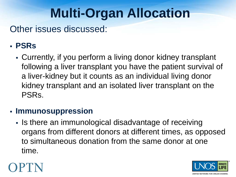Other issues discussed:

#### **PSRs**

 Currently, if you perform a living donor kidney transplant following a liver transplant you have the patient survival of a liver-kidney but it counts as an individual living donor kidney transplant and an isolated liver transplant on the PSRs.

#### **Immunosuppression**

Is there an immunological disadvantage of receiving organs from different donors at different times, as opposed to simultaneous donation from the same donor at one time.



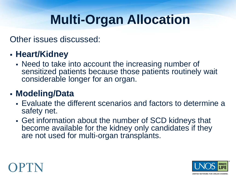Other issues discussed:

#### **Heart/Kidney**

 Need to take into account the increasing number of sensitized patients because those patients routinely wait considerable longer for an organ.

#### **Modeling/Data**

- Evaluate the different scenarios and factors to determine a safety net.
- Get information about the number of SCD kidneys that become available for the kidney only candidates if they are not used for multi-organ transplants.



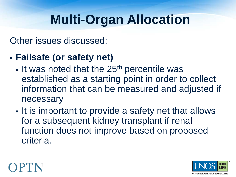Other issues discussed:

#### **Failsafe (or safety net)**

- $\blacksquare$  It was noted that the 25<sup>th</sup> percentile was established as a starting point in order to collect information that can be measured and adjusted if necessary
- It is important to provide a safety net that allows for a subsequent kidney transplant if renal function does not improve based on proposed criteria.



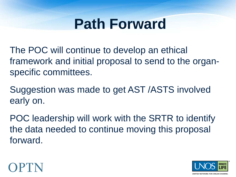### **Path Forward**

The POC will continue to develop an ethical framework and initial proposal to send to the organspecific committees.

Suggestion was made to get AST /ASTS involved early on.

POC leadership will work with the SRTR to identify the data needed to continue moving this proposal forward.



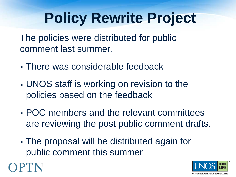## **Policy Rewrite Project**

The policies were distributed for public comment last summer.

- There was considerable feedback
- UNOS staff is working on revision to the policies based on the feedback
- POC members and the relevant committees are reviewing the post public comment drafts.
- The proposal will be distributed again for public comment this summer